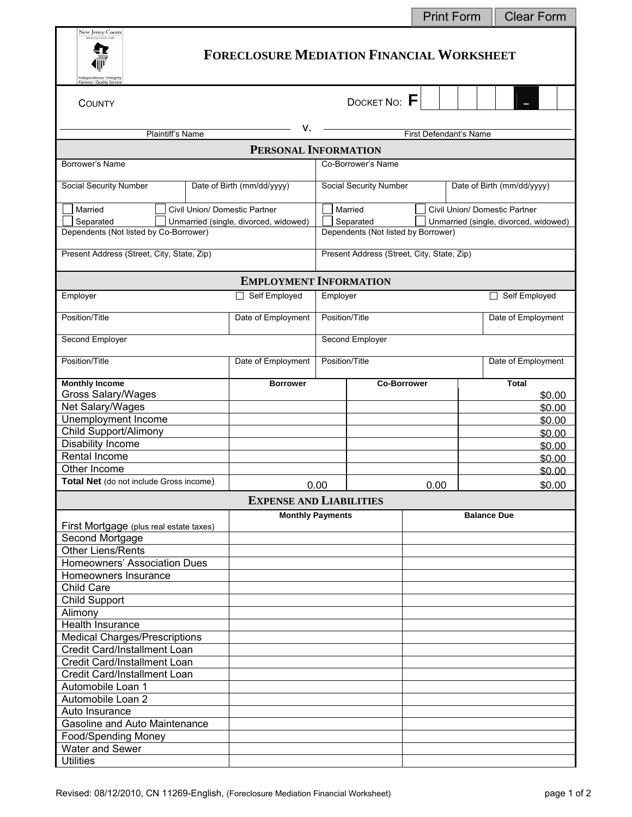|                                                                                                                           |                                               |                                                             |                                                                                           | <b>Print Form</b> |                    | <b>Clear Form</b> |  |  |  |  |
|---------------------------------------------------------------------------------------------------------------------------|-----------------------------------------------|-------------------------------------------------------------|-------------------------------------------------------------------------------------------|-------------------|--------------------|-------------------|--|--|--|--|
| New Jersey Courts<br><b>FORECLOSURE MEDIATION FINANCIAL WORKSHEET</b><br>ndependence · Integrit<br>Fairness . Quality Ser |                                               |                                                             |                                                                                           |                   |                    |                   |  |  |  |  |
| COUNTY                                                                                                                    |                                               |                                                             | DOCKET NO: F                                                                              |                   |                    |                   |  |  |  |  |
| Plaintiff's Name                                                                                                          |                                               |                                                             | First Defendant's Name                                                                    |                   |                    |                   |  |  |  |  |
| PERSONAL INFORMATION                                                                                                      |                                               |                                                             |                                                                                           |                   |                    |                   |  |  |  |  |
| Borrower's Name<br>Co-Borrower's Name                                                                                     |                                               |                                                             |                                                                                           |                   |                    |                   |  |  |  |  |
|                                                                                                                           |                                               |                                                             |                                                                                           |                   |                    |                   |  |  |  |  |
| <b>Social Security Number</b>                                                                                             | Date of Birth (mm/dd/yyyy)                    | <b>Social Security Number</b><br>Date of Birth (mm/dd/yyyy) |                                                                                           |                   |                    |                   |  |  |  |  |
| Married<br>Civil Union/ Domestic Partner                                                                                  |                                               |                                                             | Married<br>Civil Union/ Domestic Partner                                                  |                   |                    |                   |  |  |  |  |
| Separated<br>Unmarried (single, divorced, widowed)<br>Dependents (Not listed by Co-Borrower)                              |                                               |                                                             | Separated<br>Unmarried (single, divorced, widowed)<br>Dependents (Not listed by Borrower) |                   |                    |                   |  |  |  |  |
|                                                                                                                           |                                               |                                                             | Present Address (Street, City, State, Zip)                                                |                   |                    |                   |  |  |  |  |
| Present Address (Street, City, State, Zip)                                                                                |                                               |                                                             |                                                                                           |                   |                    |                   |  |  |  |  |
|                                                                                                                           | <b>EMPLOYMENT INFORMATION</b>                 |                                                             |                                                                                           |                   |                    |                   |  |  |  |  |
| Employer                                                                                                                  | □ Self Employed                               | Employer                                                    |                                                                                           |                   | Self Employed      |                   |  |  |  |  |
| Position/Title                                                                                                            | Date of Employment                            | Position/Title                                              |                                                                                           |                   | Date of Employment |                   |  |  |  |  |
| Second Employer                                                                                                           |                                               | Second Employer                                             |                                                                                           |                   |                    |                   |  |  |  |  |
| Position/Title                                                                                                            | Date of Employment                            | Position/Title                                              |                                                                                           |                   | Date of Employment |                   |  |  |  |  |
| <b>Monthly Income</b><br><b>Gross Salary/Wages</b>                                                                        | <b>Borrower</b>                               | <b>Co-Borrower</b>                                          |                                                                                           |                   | <b>Total</b>       |                   |  |  |  |  |
| Net Salary/Wages                                                                                                          |                                               |                                                             |                                                                                           |                   |                    | \$0.00<br>\$0.00  |  |  |  |  |
| Unemployment Income                                                                                                       |                                               |                                                             |                                                                                           |                   |                    | \$0.00            |  |  |  |  |
| Child Support/Alimony                                                                                                     |                                               |                                                             |                                                                                           |                   | \$0.00             |                   |  |  |  |  |
| Disability Income                                                                                                         |                                               |                                                             |                                                                                           |                   |                    | \$0.00            |  |  |  |  |
| Rental Income                                                                                                             |                                               |                                                             |                                                                                           |                   | \$0.00             |                   |  |  |  |  |
| Other Income                                                                                                              |                                               |                                                             |                                                                                           |                   |                    | \$0.00            |  |  |  |  |
| Total Net (do not include Gross income)<br>0.00<br>0.00                                                                   |                                               |                                                             |                                                                                           |                   |                    | \$0.00            |  |  |  |  |
| <b>EXPENSE AND LIABILITIES</b>                                                                                            |                                               |                                                             |                                                                                           |                   |                    |                   |  |  |  |  |
|                                                                                                                           | <b>Monthly Payments</b><br><b>Balance Due</b> |                                                             |                                                                                           |                   |                    |                   |  |  |  |  |
| First Mortgage (plus real estate taxes)<br>Second Mortgage                                                                |                                               |                                                             |                                                                                           |                   |                    |                   |  |  |  |  |
| <b>Other Liens/Rents</b>                                                                                                  |                                               |                                                             |                                                                                           |                   |                    |                   |  |  |  |  |
| Homeowners' Association Dues                                                                                              |                                               |                                                             |                                                                                           |                   |                    |                   |  |  |  |  |
| Homeowners Insurance                                                                                                      |                                               |                                                             |                                                                                           |                   |                    |                   |  |  |  |  |
| Child Care                                                                                                                |                                               |                                                             |                                                                                           |                   |                    |                   |  |  |  |  |
| <b>Child Support</b>                                                                                                      |                                               |                                                             |                                                                                           |                   |                    |                   |  |  |  |  |
| Alimony                                                                                                                   |                                               |                                                             |                                                                                           |                   |                    |                   |  |  |  |  |
| Health Insurance                                                                                                          |                                               |                                                             |                                                                                           |                   |                    |                   |  |  |  |  |
| <b>Medical Charges/Prescriptions</b>                                                                                      |                                               |                                                             |                                                                                           |                   |                    |                   |  |  |  |  |
| Credit Card/Installment Loan                                                                                              |                                               |                                                             |                                                                                           |                   |                    |                   |  |  |  |  |
| Credit Card/Installment Loan                                                                                              |                                               |                                                             |                                                                                           |                   |                    |                   |  |  |  |  |
| Credit Card/Installment Loan                                                                                              |                                               |                                                             |                                                                                           |                   |                    |                   |  |  |  |  |
| Automobile Loan 1<br>Automobile Loan 2                                                                                    |                                               |                                                             |                                                                                           |                   |                    |                   |  |  |  |  |
| Auto Insurance                                                                                                            |                                               |                                                             |                                                                                           |                   |                    |                   |  |  |  |  |
| Gasoline and Auto Maintenance                                                                                             |                                               |                                                             |                                                                                           |                   |                    |                   |  |  |  |  |
| Food/Spending Money                                                                                                       |                                               |                                                             |                                                                                           |                   |                    |                   |  |  |  |  |
| Water and Sewer                                                                                                           |                                               |                                                             |                                                                                           |                   |                    |                   |  |  |  |  |
| <b>Utilities</b>                                                                                                          |                                               |                                                             |                                                                                           |                   |                    |                   |  |  |  |  |

÷

۰,

the control of the control of the